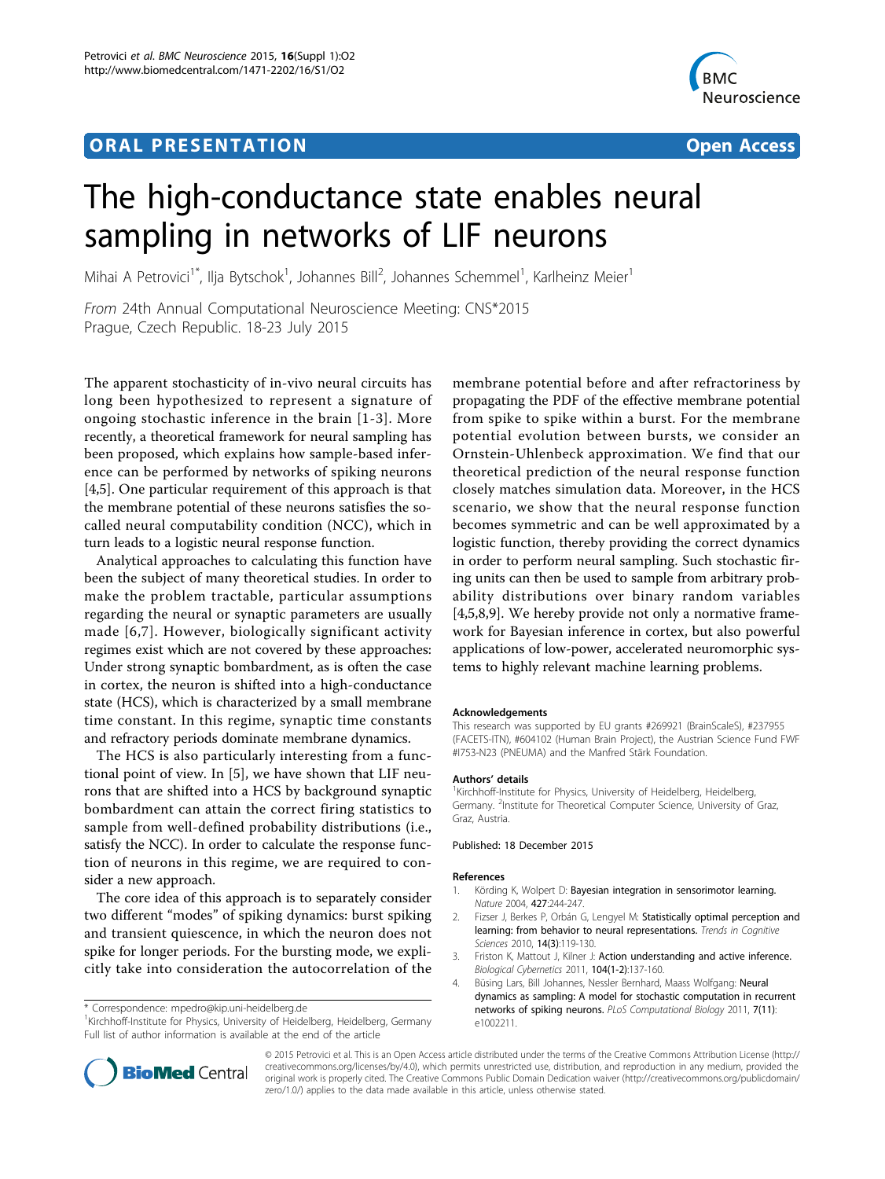# **ORAL PRESENTATION OPEN ACCESS**



# The high-conductance state enables neural sampling in networks of LIF neurons

Mihai A Petrovici<sup>1\*</sup>, Ilja Bytschok<sup>1</sup>, Johannes Bill<sup>2</sup>, Johannes Schemmel<sup>1</sup>, Karlheinz Meier<sup>1</sup>

From 24th Annual Computational Neuroscience Meeting: CNS\*2015 Prague, Czech Republic. 18-23 July 2015

The apparent stochasticity of in-vivo neural circuits has long been hypothesized to represent a signature of ongoing stochastic inference in the brain [1-3]. More recently, a theoretical framework for neural sampling has been proposed, which explains how sample-based inference can be performed by networks of spiking neurons [4,[5\]](#page-1-0). One particular requirement of this approach is that the membrane potential of these neurons satisfies the socalled neural computability condition (NCC), which in turn leads to a logistic neural response function.

Analytical approaches to calculating this function have been the subject of many theoretical studies. In order to make the problem tractable, particular assumptions regarding the neural or synaptic parameters are usually made [[6,7](#page-1-0)]. However, biologically significant activity regimes exist which are not covered by these approaches: Under strong synaptic bombardment, as is often the case in cortex, the neuron is shifted into a high-conductance state (HCS), which is characterized by a small membrane time constant. In this regime, synaptic time constants and refractory periods dominate membrane dynamics.

The HCS is also particularly interesting from a functional point of view. In [[5\]](#page-1-0), we have shown that LIF neurons that are shifted into a HCS by background synaptic bombardment can attain the correct firing statistics to sample from well-defined probability distributions (i.e., satisfy the NCC). In order to calculate the response function of neurons in this regime, we are required to consider a new approach.

The core idea of this approach is to separately consider two different "modes" of spiking dynamics: burst spiking and transient quiescence, in which the neuron does not spike for longer periods. For the bursting mode, we explicitly take into consideration the autocorrelation of the

\* Correspondence: [mpedro@kip.uni-heidelberg.de](mailto:mpedro@kip.uni-heidelberg.de)

<sup>1</sup>Kirchhoff-Institute for Physics, University of Heidelberg, Heidelberg, Germany Full list of author information is available at the end of the article

membrane potential before and after refractoriness by propagating the PDF of the effective membrane potential from spike to spike within a burst. For the membrane potential evolution between bursts, we consider an Ornstein-Uhlenbeck approximation. We find that our theoretical prediction of the neural response function closely matches simulation data. Moreover, in the HCS scenario, we show that the neural response function becomes symmetric and can be well approximated by a logistic function, thereby providing the correct dynamics in order to perform neural sampling. Such stochastic firing units can then be used to sample from arbitrary probability distributions over binary random variables [4,[5,8,9](#page-1-0)]. We hereby provide not only a normative framework for Bayesian inference in cortex, but also powerful applications of low-power, accelerated neuromorphic systems to highly relevant machine learning problems.

#### Acknowledgements

This research was supported by EU grants #269921 (BrainScaleS), #237955 (FACETS-ITN), #604102 (Human Brain Project), the Austrian Science Fund FWF #I753-N23 (PNEUMA) and the Manfred Stärk Foundation.

#### Authors' details <sup>1</sup>

<sup>1</sup>Kirchhoff-Institute for Physics, University of Heidelberg, Heidelberg Germany. <sup>2</sup>Institute for Theoretical Computer Science, University of Graz, Graz, Austria.

Published: 18 December 2015

#### References

- 1. Körding K, Wolpert D: Bayesian integration in sensorimotor learning. Nature 2004, 427:244-247.
- 2. Fizser J, Berkes P, Orbán G, Lengyel M: Statistically optimal perception and learning: from behavior to neural representations. Trends in Cognitive Sciences 2010, 14(3):119-130.
- 3. Friston K, Mattout J, Kilner J: Action understanding and active inference. Biological Cybernetics 2011, 104(1-2):137-160.
- 4. Büsing Lars, Bill Johannes, Nessler Bernhard, Maass Wolfgang: Neural dynamics as sampling: A model for stochastic computation in recurrent networks of spiking neurons. PLoS Computational Biology 2011, 7(11): e1002211.



© 2015 Petrovici et al. This is an Open Access article distributed under the terms of the Creative Commons Attribution License [\(http://](http://creativecommons.org/licenses/by/4.0) [creativecommons.org/licenses/by/4.0](http://creativecommons.org/licenses/by/4.0)), which permits unrestricted use, distribution, and reproduction in any medium, provided the original work is properly cited. The Creative Commons Public Domain Dedication waiver ([http://creativecommons.org/publicdomain/](http://creativecommons.org/publicdomain/zero/1.0/) [zero/1.0/](http://creativecommons.org/publicdomain/zero/1.0/)) applies to the data made available in this article, unless otherwise stated.